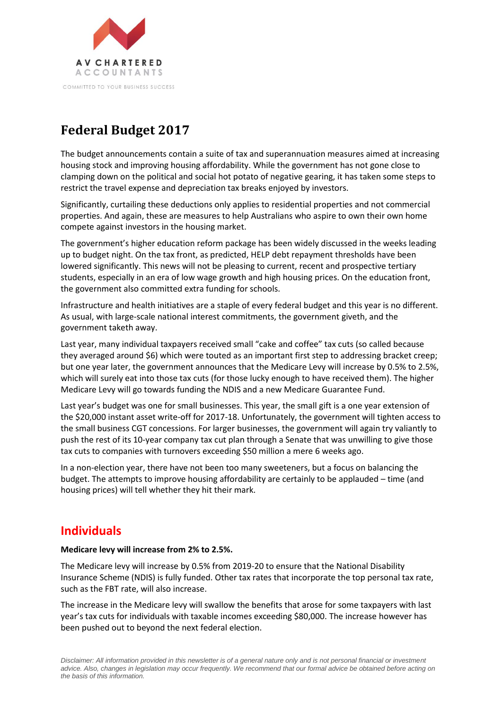

# **Federal Budget 2017**

The budget announcements contain a suite of tax and superannuation measures aimed at increasing housing stock and improving housing affordability. While the government has not gone close to clamping down on the political and social hot potato of negative gearing, it has taken some steps to restrict the travel expense and depreciation tax breaks enjoyed by investors.

Significantly, curtailing these deductions only applies to residential properties and not commercial properties. And again, these are measures to help Australians who aspire to own their own home compete against investors in the housing market.

The government's higher education reform package has been widely discussed in the weeks leading up to budget night. On the tax front, as predicted, HELP debt repayment thresholds have been lowered significantly. This news will not be pleasing to current, recent and prospective tertiary students, especially in an era of low wage growth and high housing prices. On the education front, the government also committed extra funding for schools.

Infrastructure and health initiatives are a staple of every federal budget and this year is no different. As usual, with large-scale national interest commitments, the government giveth, and the government taketh away.

Last year, many individual taxpayers received small "cake and coffee" tax cuts (so called because they averaged around \$6) which were touted as an important first step to addressing bracket creep; but one year later, the government announces that the Medicare Levy will increase by 0.5% to 2.5%, which will surely eat into those tax cuts (for those lucky enough to have received them). The higher Medicare Levy will go towards funding the NDIS and a new Medicare Guarantee Fund.

Last year's budget was one for small businesses. This year, the small gift is a one year extension of the \$20,000 instant asset write-off for 2017-18. Unfortunately, the government will tighten access to the small business CGT concessions. For larger businesses, the government will again try valiantly to push the rest of its 10-year company tax cut plan through a Senate that was unwilling to give those tax cuts to companies with turnovers exceeding \$50 million a mere 6 weeks ago.

In a non-election year, there have not been too many sweeteners, but a focus on balancing the budget. The attempts to improve housing affordability are certainly to be applauded – time (and housing prices) will tell whether they hit their mark.

# **Individuals**

### **Medicare levy will increase from 2% to 2.5%.**

The Medicare levy will increase by 0.5% from 2019-20 to ensure that the National Disability Insurance Scheme (NDIS) is fully funded. Other tax rates that incorporate the top personal tax rate, such as the FBT rate, will also increase.

The increase in the Medicare levy will swallow the benefits that arose for some taxpayers with last year's tax cuts for individuals with taxable incomes exceeding \$80,000. The increase however has been pushed out to beyond the next federal election.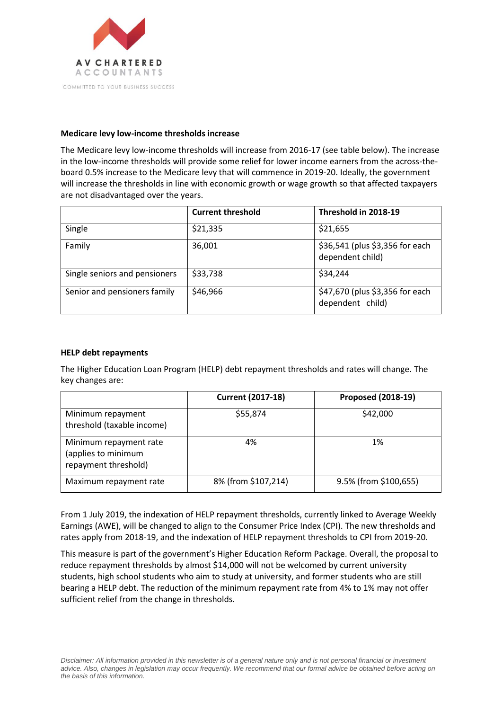

### **Medicare levy low-income thresholds increase**

The Medicare levy low-income thresholds will increase from 2016-17 (see table below). The increase in the low-income thresholds will provide some relief for lower income earners from the across-theboard 0.5% increase to the Medicare levy that will commence in 2019-20. Ideally, the government will increase the thresholds in line with economic growth or wage growth so that affected taxpayers are not disadvantaged over the years.

|                               | <b>Current threshold</b> | Threshold in 2018-19                                |
|-------------------------------|--------------------------|-----------------------------------------------------|
| Single                        | \$21,335                 | \$21,655                                            |
| Family                        | 36,001                   | \$36,541 (plus \$3,356 for each<br>dependent child) |
| Single seniors and pensioners | \$33,738                 | \$34,244                                            |
| Senior and pensioners family  | \$46,966                 | \$47,670 (plus \$3,356 for each<br>dependent child) |

### **HELP debt repayments**

The Higher Education Loan Program (HELP) debt repayment thresholds and rates will change. The key changes are:

|                                                                       | <b>Current (2017-18)</b> | <b>Proposed (2018-19)</b> |
|-----------------------------------------------------------------------|--------------------------|---------------------------|
| Minimum repayment<br>threshold (taxable income)                       | \$55,874                 | \$42,000                  |
| Minimum repayment rate<br>(applies to minimum<br>repayment threshold) | 4%                       | 1%                        |
| Maximum repayment rate                                                | 8% (from \$107,214)      | 9.5% (from \$100,655)     |

From 1 July 2019, the indexation of HELP repayment thresholds, currently linked to Average Weekly Earnings (AWE), will be changed to align to the Consumer Price Index (CPI). The new thresholds and rates apply from 2018-19, and the indexation of HELP repayment thresholds to CPI from 2019-20.

This measure is part of the government's Higher Education Reform Package. Overall, the proposal to reduce repayment thresholds by almost \$14,000 will not be welcomed by current university students, high school students who aim to study at university, and former students who are still bearing a HELP debt. The reduction of the minimum repayment rate from 4% to 1% may not offer sufficient relief from the change in thresholds.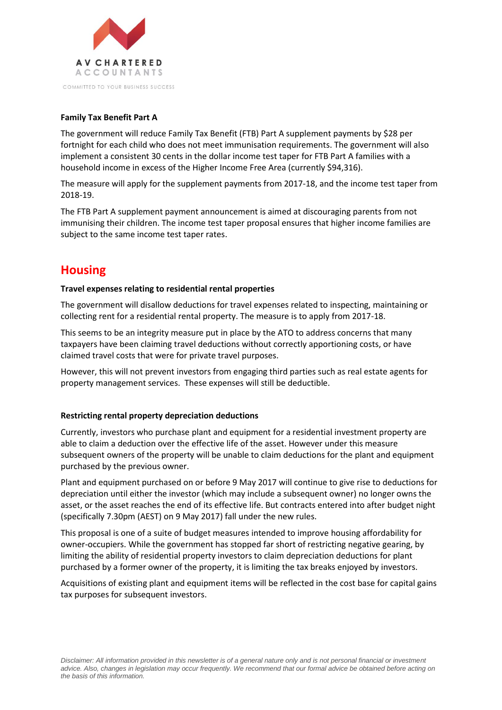

### **Family Tax Benefit Part A**

The government will reduce Family Tax Benefit (FTB) Part A supplement payments by \$28 per fortnight for each child who does not meet immunisation requirements. The government will also implement a consistent 30 cents in the dollar income test taper for FTB Part A families with a household income in excess of the Higher Income Free Area (currently \$94,316).

The measure will apply for the supplement payments from 2017-18, and the income test taper from 2018-19.

The FTB Part A supplement payment announcement is aimed at discouraging parents from not immunising their children. The income test taper proposal ensures that higher income families are subject to the same income test taper rates.

# **Housing**

#### **Travel expenses relating to residential rental properties**

The government will disallow deductions for travel expenses related to inspecting, maintaining or collecting rent for a residential rental property. The measure is to apply from 2017-18.

This seems to be an integrity measure put in place by the ATO to address concerns that many taxpayers have been claiming travel deductions without correctly apportioning costs, or have claimed travel costs that were for private travel purposes.

However, this will not prevent investors from engaging third parties such as real estate agents for property management services. These expenses will still be deductible.

#### **Restricting rental property depreciation deductions**

Currently, investors who purchase plant and equipment for a residential investment property are able to claim a deduction over the effective life of the asset. However under this measure subsequent owners of the property will be unable to claim deductions for the plant and equipment purchased by the previous owner.

Plant and equipment purchased on or before 9 May 2017 will continue to give rise to deductions for depreciation until either the investor (which may include a subsequent owner) no longer owns the asset, or the asset reaches the end of its effective life. But contracts entered into after budget night (specifically 7.30pm (AEST) on 9 May 2017) fall under the new rules.

This proposal is one of a suite of budget measures intended to improve housing affordability for owner-occupiers. While the government has stopped far short of restricting negative gearing, by limiting the ability of residential property investors to claim depreciation deductions for plant purchased by a former owner of the property, it is limiting the tax breaks enjoyed by investors.

Acquisitions of existing plant and equipment items will be reflected in the cost base for capital gains tax purposes for subsequent investors.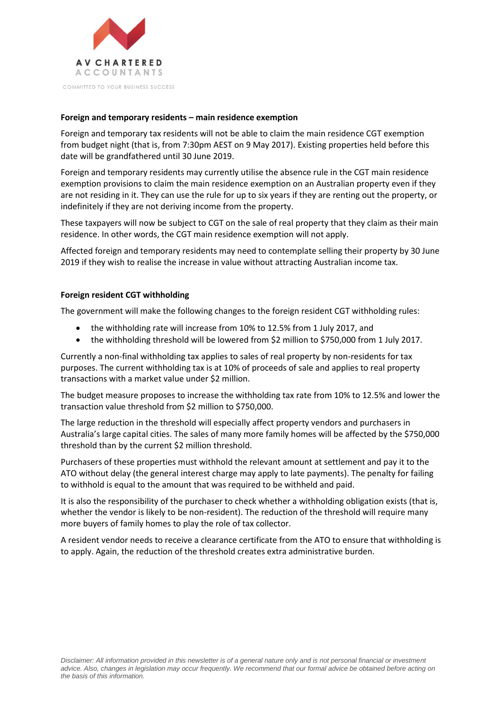

COMMITTED TO YOUR BUSINESS SUCCESS

### **Foreign and temporary residents – main residence exemption**

Foreign and temporary tax residents will not be able to claim the main residence CGT exemption from budget night (that is, from 7:30pm AEST on 9 May 2017). Existing properties held before this date will be grandfathered until 30 June 2019.

Foreign and temporary residents may currently utilise the absence rule in the CGT main residence exemption provisions to claim the main residence exemption on an Australian property even if they are not residing in it. They can use the rule for up to six years if they are renting out the property, or indefinitely if they are not deriving income from the property.

These taxpayers will now be subject to CGT on the sale of real property that they claim as their main residence. In other words, the CGT main residence exemption will not apply.

Affected foreign and temporary residents may need to contemplate selling their property by 30 June 2019 if they wish to realise the increase in value without attracting Australian income tax.

### **Foreign resident CGT withholding**

The government will make the following changes to the foreign resident CGT withholding rules:

- the withholding rate will increase from 10% to 12.5% from 1 July 2017, and
- the withholding threshold will be lowered from \$2 million to \$750,000 from 1 July 2017.

Currently a non-final withholding tax applies to sales of real property by non-residents for tax purposes. The current withholding tax is at 10% of proceeds of sale and applies to real property transactions with a market value under \$2 million.

The budget measure proposes to increase the withholding tax rate from 10% to 12.5% and lower the transaction value threshold from \$2 million to \$750,000.

The large reduction in the threshold will especially affect property vendors and purchasers in Australia's large capital cities. The sales of many more family homes will be affected by the \$750,000 threshold than by the current \$2 million threshold.

Purchasers of these properties must withhold the relevant amount at settlement and pay it to the ATO without delay (the general interest charge may apply to late payments). The penalty for failing to withhold is equal to the amount that was required to be withheld and paid.

It is also the responsibility of the purchaser to check whether a withholding obligation exists (that is, whether the vendor is likely to be non-resident). The reduction of the threshold will require many more buyers of family homes to play the role of tax collector.

A resident vendor needs to receive a clearance certificate from the ATO to ensure that withholding is to apply. Again, the reduction of the threshold creates extra administrative burden.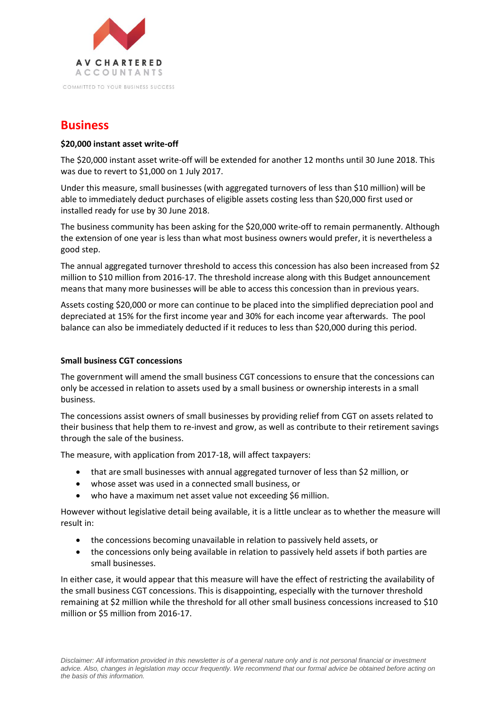

# **Business**

### **\$20,000 instant asset write-off**

The \$20,000 instant asset write-off will be extended for another 12 months until 30 June 2018. This was due to revert to \$1,000 on 1 July 2017.

Under this measure, small businesses (with aggregated turnovers of less than \$10 million) will be able to immediately deduct purchases of eligible assets costing less than \$20,000 first used or installed ready for use by 30 June 2018.

The business community has been asking for the \$20,000 write-off to remain permanently. Although the extension of one year is less than what most business owners would prefer, it is nevertheless a good step.

The annual aggregated turnover threshold to access this concession has also been increased from \$2 million to \$10 million from 2016-17. The threshold increase along with this Budget announcement means that many more businesses will be able to access this concession than in previous years.

Assets costing \$20,000 or more can continue to be placed into the simplified depreciation pool and depreciated at 15% for the first income year and 30% for each income year afterwards. The pool balance can also be immediately deducted if it reduces to less than \$20,000 during this period.

### **Small business CGT concessions**

The government will amend the small business CGT concessions to ensure that the concessions can only be accessed in relation to assets used by a small business or ownership interests in a small business.

The concessions assist owners of small businesses by providing relief from CGT on assets related to their business that help them to re-invest and grow, as well as contribute to their retirement savings through the sale of the business.

The measure, with application from 2017-18, will affect taxpayers:

- that are small businesses with annual aggregated turnover of less than \$2 million, or
- whose asset was used in a connected small business, or
- who have a maximum net asset value not exceeding \$6 million.

However without legislative detail being available, it is a little unclear as to whether the measure will result in:

- the concessions becoming unavailable in relation to passively held assets, or
- the concessions only being available in relation to passively held assets if both parties are small businesses.

In either case, it would appear that this measure will have the effect of restricting the availability of the small business CGT concessions. This is disappointing, especially with the turnover threshold remaining at \$2 million while the threshold for all other small business concessions increased to \$10 million or \$5 million from 2016-17.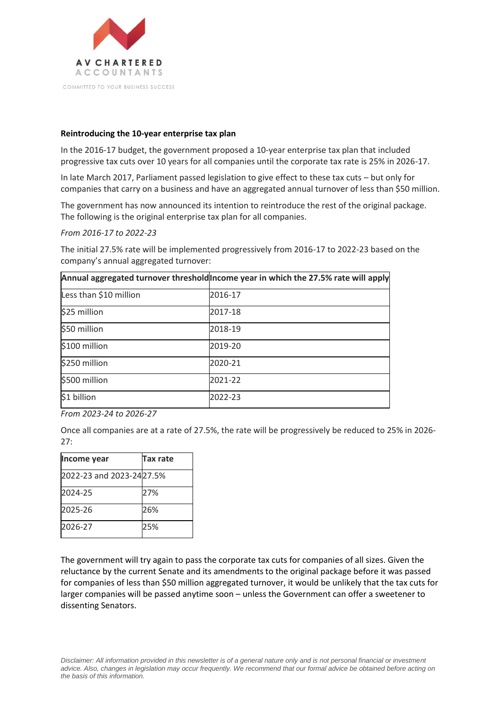

#### **Reintroducing the 10-year enterprise tax plan**

In the 2016-17 budget, the government proposed a 10-year enterprise tax plan that included progressive tax cuts over 10 years for all companies until the corporate tax rate is 25% in 2026-17.

In late March 2017, Parliament passed legislation to give effect to these tax cuts – but only for companies that carry on a business and have an aggregated annual turnover of less than \$50 million.

The government has now announced its intention to reintroduce the rest of the original package. The following is the original enterprise tax plan for all companies.

*From 2016-17 to 2022-23*

The initial 27.5% rate will be implemented progressively from 2016-17 to 2022-23 based on the company's annual aggregated turnover:

|                        | Annual aggregated turnover threshold ncome year in which the 27.5% rate will apply |
|------------------------|------------------------------------------------------------------------------------|
| Less than \$10 million | 2016-17                                                                            |
| \$25 million           | 2017-18                                                                            |
| \$50 million           | 2018-19                                                                            |
| \$100 million          | 2019-20                                                                            |
| \$250 million          | 2020-21                                                                            |
| \$500 million          | 2021-22                                                                            |
| \$1 billion            | 2022-23                                                                            |

*From 2023-24 to 2026-27*

Once all companies are at a rate of 27.5%, the rate will be progressively be reduced to 25% in 2026- 27:

| Income year              | Tax rate |
|--------------------------|----------|
| 2022-23 and 2023-2427.5% |          |
| 2024-25                  | 27%      |
| 2025-26                  | 26%      |
| 2026-27                  | 25%      |

The government will try again to pass the corporate tax cuts for companies of all sizes. Given the reluctance by the current Senate and its amendments to the original package before it was passed for companies of less than \$50 million aggregated turnover, it would be unlikely that the tax cuts for larger companies will be passed anytime soon – unless the Government can offer a sweetener to dissenting Senators.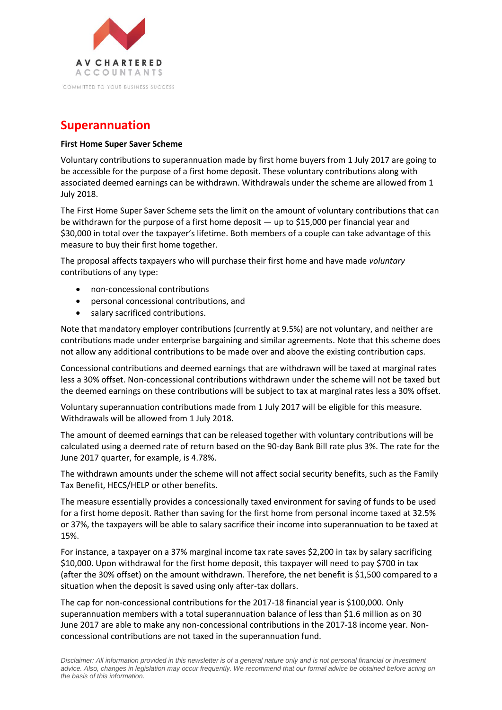

# **Superannuation**

### **First Home Super Saver Scheme**

Voluntary contributions to superannuation made by first home buyers from 1 July 2017 are going to be accessible for the purpose of a first home deposit. These voluntary contributions along with associated deemed earnings can be withdrawn. Withdrawals under the scheme are allowed from 1 July 2018.

The First Home Super Saver Scheme sets the limit on the amount of voluntary contributions that can be withdrawn for the purpose of a first home deposit — up to \$15,000 per financial year and \$30,000 in total over the taxpayer's lifetime. Both members of a couple can take advantage of this measure to buy their first home together.

The proposal affects taxpayers who will purchase their first home and have made *voluntary* contributions of any type:

- non-concessional contributions
- personal concessional contributions, and
- salary sacrificed contributions.

Note that mandatory employer contributions (currently at 9.5%) are not voluntary, and neither are contributions made under enterprise bargaining and similar agreements. Note that this scheme does not allow any additional contributions to be made over and above the existing contribution caps.

Concessional contributions and deemed earnings that are withdrawn will be taxed at marginal rates less a 30% offset. Non-concessional contributions withdrawn under the scheme will not be taxed but the deemed earnings on these contributions will be subject to tax at marginal rates less a 30% offset.

Voluntary superannuation contributions made from 1 July 2017 will be eligible for this measure. Withdrawals will be allowed from 1 July 2018.

The amount of deemed earnings that can be released together with voluntary contributions will be calculated using a deemed rate of return based on the 90-day Bank Bill rate plus 3%. The rate for the June 2017 quarter, for example, is 4.78%.

The withdrawn amounts under the scheme will not affect social security benefits, such as the Family Tax Benefit, HECS/HELP or other benefits.

The measure essentially provides a concessionally taxed environment for saving of funds to be used for a first home deposit. Rather than saving for the first home from personal income taxed at 32.5% or 37%, the taxpayers will be able to salary sacrifice their income into superannuation to be taxed at 15%.

For instance, a taxpayer on a 37% marginal income tax rate saves \$2,200 in tax by salary sacrificing \$10,000. Upon withdrawal for the first home deposit, this taxpayer will need to pay \$700 in tax (after the 30% offset) on the amount withdrawn. Therefore, the net benefit is \$1,500 compared to a situation when the deposit is saved using only after-tax dollars.

The cap for non-concessional contributions for the 2017-18 financial year is \$100,000. Only superannuation members with a total superannuation balance of less than \$1.6 million as on 30 June 2017 are able to make any non-concessional contributions in the 2017-18 income year. Nonconcessional contributions are not taxed in the superannuation fund.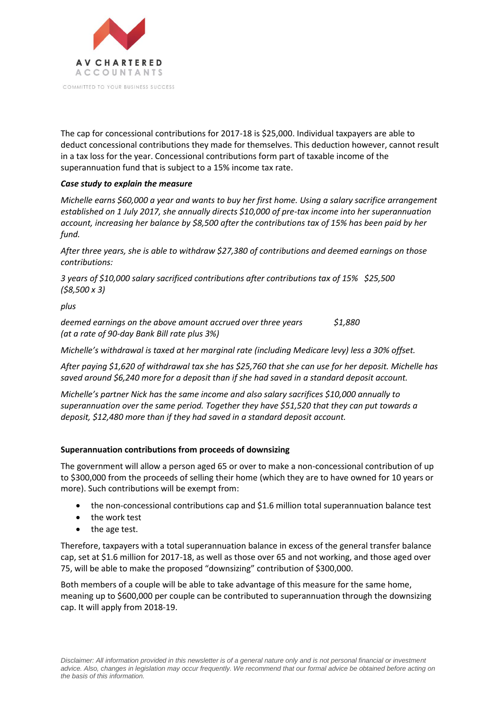

The cap for concessional contributions for 2017-18 is \$25,000. Individual taxpayers are able to deduct concessional contributions they made for themselves. This deduction however, cannot result in a tax loss for the year. Concessional contributions form part of taxable income of the superannuation fund that is subject to a 15% income tax rate.

### *Case study to explain the measure*

*Michelle earns \$60,000 a year and wants to buy her first home. Using a salary sacrifice arrangement established on 1 July 2017, she annually directs \$10,000 of pre-tax income into her superannuation account, increasing her balance by \$8,500 after the contributions tax of 15% has been paid by her fund.*

*After three years, she is able to withdraw \$27,380 of contributions and deemed earnings on those contributions:* 

*3 years of \$10,000 salary sacrificed contributions after contributions tax of 15% \$25,500 (\$8,500 x 3)*

*plus*

*deemed earnings on the above amount accrued over three years \$1,880 (at a rate of 90-day Bank Bill rate plus 3%)*

*Michelle's withdrawal is taxed at her marginal rate (including Medicare levy) less a 30% offset.* 

*After paying \$1,620 of withdrawal tax she has \$25,760 that she can use for her deposit. Michelle has saved around \$6,240 more for a deposit than if she had saved in a standard deposit account.*

*Michelle's partner Nick has the same income and also salary sacrifices \$10,000 annually to superannuation over the same period. Together they have \$51,520 that they can put towards a deposit, \$12,480 more than if they had saved in a standard deposit account.*

### **Superannuation contributions from proceeds of downsizing**

The government will allow a person aged 65 or over to make a non-concessional contribution of up to \$300,000 from the proceeds of selling their home (which they are to have owned for 10 years or more). Such contributions will be exempt from:

- the non-concessional contributions cap and \$1.6 million total superannuation balance test
- the work test
- the age test.

Therefore, taxpayers with a total superannuation balance in excess of the general transfer balance cap, set at \$1.6 million for 2017-18, as well as those over 65 and not working, and those aged over 75, will be able to make the proposed "downsizing" contribution of \$300,000.

Both members of a couple will be able to take advantage of this measure for the same home, meaning up to \$600,000 per couple can be contributed to superannuation through the downsizing cap. It will apply from 2018-19.